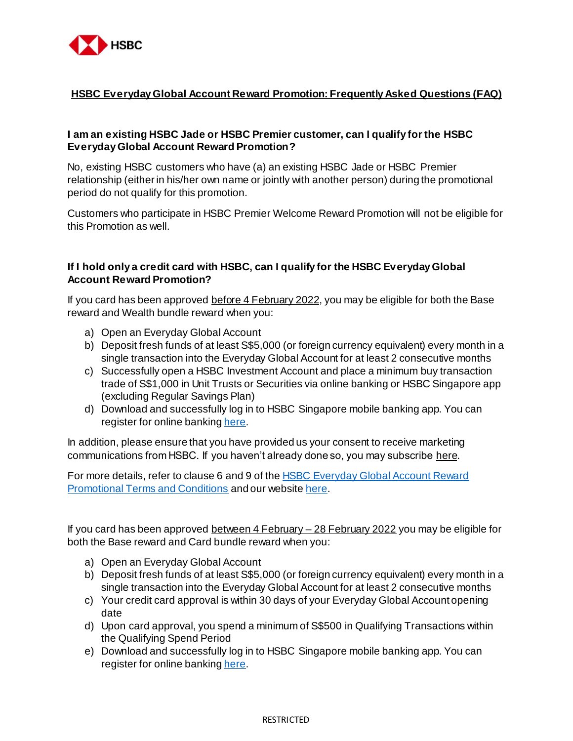

### **HSBC Everyday Global Account Reward Promotion: Frequently Asked Questions (FAQ)**

## **I am an existing HSBC Jade or HSBC Premier customer, can I qualify for the HSBC Everyday Global Account Reward Promotion?**

No, existing HSBC customers who have (a) an existing HSBC Jade or HSBC Premier relationship (either in his/her own name or jointly with another person) during the promotional period do not qualify for this promotion.

Customers who participate in HSBC Premier Welcome Reward Promotion will not be eligible for this Promotion as well.

## **If I hold only a credit card with HSBC, can I qualify for the HSBC Everyday Global Account Reward Promotion?**

If you card has been approved before 4 February 2022, you may be eligible for both the Base reward and Wealth bundle reward when you:

- a) Open an Everyday Global Account
- b) Deposit fresh funds of at least S\$5,000 (or foreign currency equivalent) every month in a single transaction into the Everyday Global Account for at least 2 consecutive months
- c) Successfully open a HSBC Investment Account and place a minimum buy transaction trade of S\$1,000 in Unit Trusts or Securities via online banking or HSBC Singapore app (excluding Regular Savings Plan)
- d) Download and successfully log in to HSBC Singapore mobile banking app. You can register for online bankin[g here](https://www.hsbc.com.sg/ways-to-bank/online/register/).

In addition, please ensure that you have provided us your consent to receive marketing communications from HSBC. If you haven't already done so, you may subscrib[e here](https://forms.hsbc.com.sg/en-sg/forms/hsbc-marketing-opt-in-application-form/).

For more details, refer to clause 6 and 9 of th[e HSBC Everyday Global Account Reward](https://cdn.hsbc.com.sg/content/dam/hsbc/sg/documents/accounts/products/everyday-global/offers/welcome-rewards-terms-and-conditions.pdf)  [Promotional Terms and Conditions](https://cdn.hsbc.com.sg/content/dam/hsbc/sg/documents/accounts/products/everyday-global/offers/welcome-rewards-terms-and-conditions.pdf) and our websit[e here](https://www.hsbc.com.sg/personal-banking/).

If you card has been approved between 4 February – 28 February 2022 you may be eligible for both the Base reward and Card bundle reward when you:

- a) Open an Everyday Global Account
- b) Deposit fresh funds of at least S\$5,000 (or foreign currency equivalent) every month in a single transaction into the Everyday Global Account for at least 2 consecutive months
- c) Your credit card approval is within 30 days of your Everyday Global Account opening date
- d) Upon card approval, you spend a minimum of S\$500 in Qualifying Transactions within the Qualifying Spend Period
- e) Download and successfully log in to HSBC Singapore mobile banking app. You can register for online bankin[g here](https://www.hsbc.com.sg/ways-to-bank/online/register/).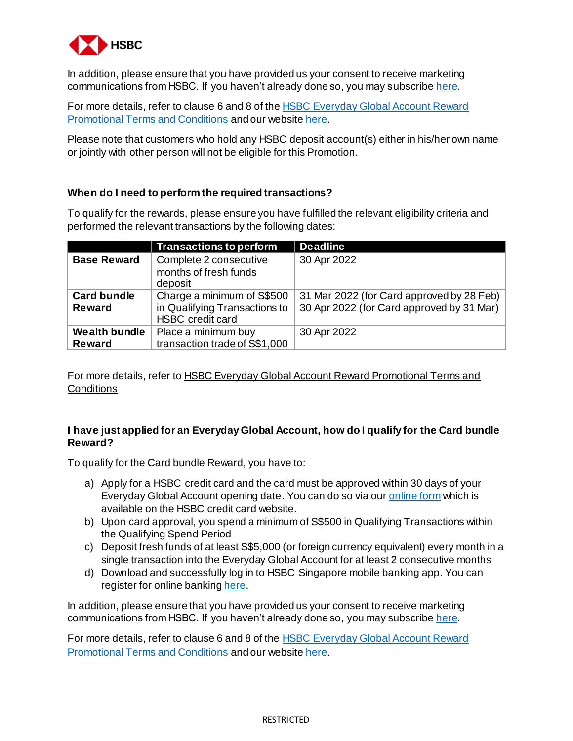

In addition, please ensure that you have provided us your consent to receive marketing communications from HSBC. If you haven't already done so, you may subscrib[e here](https://forms.hsbc.com.sg/en-sg/forms/hsbc-marketing-opt-in-application-form/).

For more details, refer to clause 6 and 8 of the **HSBC Everyday Global Account Reward** [Promotional Terms and Conditions](https://cdn.hsbc.com.sg/content/dam/hsbc/sg/documents/accounts/products/everyday-global/offers/welcome-rewards-terms-and-conditions.pdf) and our websit[e here](https://www.hsbc.com.sg/personal-banking/).

Please note that customers who hold any HSBC deposit account(s) either in his/her own name or jointly with other person will not be eligible for this Promotion.

### **When do I need to perform the required transactions?**

To qualify for the rewards, please ensure you have fulfilled the relevant eligibility criteria and performed the relevant transactions by the following dates:

|                                       | <b>Transactions to perform</b>                                                  | <b>Deadline</b>                                                                          |
|---------------------------------------|---------------------------------------------------------------------------------|------------------------------------------------------------------------------------------|
| <b>Base Reward</b>                    | Complete 2 consecutive<br>months of fresh funds<br>deposit                      | 30 Apr 2022                                                                              |
| <b>Card bundle</b><br><b>Reward</b>   | Charge a minimum of S\$500<br>in Qualifying Transactions to<br>HSBC credit card | 31 Mar 2022 (for Card approved by 28 Feb)  <br>30 Apr 2022 (for Card approved by 31 Mar) |
| <b>Wealth bundle</b><br><b>Reward</b> | Place a minimum buy<br>transaction trade of S\$1,000                            | 30 Apr 2022                                                                              |

For more details, refer to HSBC Everyday Global Account Reward Promotional Terms and **Conditions** 

### **I have just applied for an Everyday Global Account, how do I qualify for the Card bundle Reward?**

To qualify for the Card bundle Reward, you have to:

- a) Apply for a HSBC credit card and the card must be approved within 30 days of your Everyday Global Account opening date. You can do so via ou[r online form](https://www.newcreditcard.hsbc.com.sg/hsbcaofe/#!/app/apply-for-card?promo=PB1400281&sourceCode=EP&isCasaApplied=Y) which is available on the HSBC credit card website.
- b) Upon card approval, you spend a minimum of S\$500 in Qualifying Transactions within the Qualifying Spend Period
- c) Deposit fresh funds of at least S\$5,000 (or foreign currency equivalent) every month in a single transaction into the Everyday Global Account for at least 2 consecutive months
- d) Download and successfully log in to HSBC Singapore mobile banking app. You can register for online bankin[g here](https://www.hsbc.com.sg/ways-to-bank/online/register/).

In addition, please ensure that you have provided us your consent to receive marketing communications from HSBC. If you haven't already done so, you may subscrib[e here](https://forms.hsbc.com.sg/en-sg/forms/hsbc-marketing-opt-in-application-form/).

For more details, refer to clause 6 and 8 of the **HSBC Everyday Global Account Reward** [Promotional Terms and Conditions](https://cdn.hsbc.com.sg/content/dam/hsbc/sg/documents/accounts/products/everyday-global/offers/welcome-rewards-terms-and-conditions.pdf) and our websit[e here](https://www.hsbc.com.sg/personal-banking/).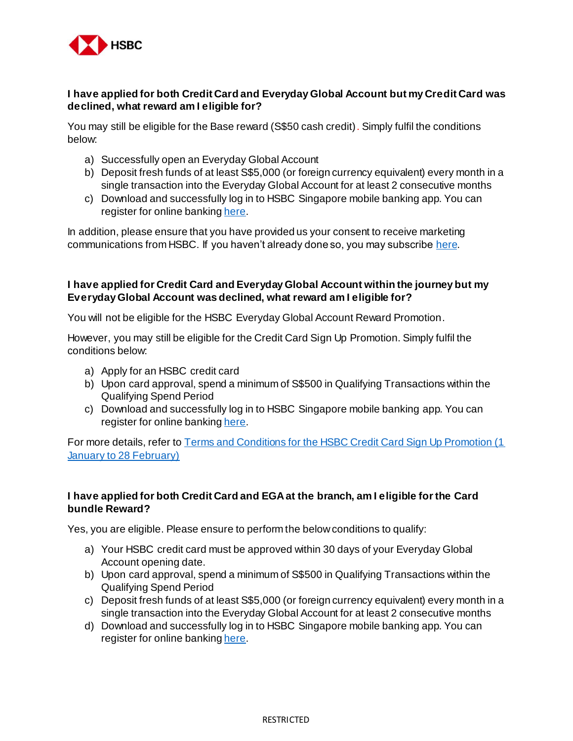

#### **I have applied for both Credit Card and Everyday Global Account but my Credit Card was declined, what reward am I eligible for?**

You may still be eligible for the Base reward (S\$50 cash credit). Simply fulfil the conditions below:

- a) Successfully open an Everyday Global Account
- b) Deposit fresh funds of at least S\$5,000 (or foreign currency equivalent) every month in a single transaction into the Everyday Global Account for at least 2 consecutive months
- c) Download and successfully log in to HSBC Singapore mobile banking app. You can register for online bankin[g here](https://www.hsbc.com.sg/ways-to-bank/online/register/).

In addition, please ensure that you have provided us your consent to receive marketing communications from HSBC. If you haven't already done so, you may subscrib[e here](https://forms.hsbc.com.sg/en-sg/forms/hsbc-marketing-opt-in-application-form/).

### **I have applied for Credit Card and Everyday Global Account within the journey but my Everyday Global Account was declined, what reward am I eligible for?**

You will not be eligible for the HSBC Everyday Global Account Reward Promotion.

However, you may still be eligible for the Credit Card Sign Up Promotion. Simply fulfil the conditions below:

- a) Apply for an HSBC credit card
- b) Upon card approval, spend a minimum of S\$500 in Qualifying Transactions within the Qualifying Spend Period
- c) Download and successfully log in to HSBC Singapore mobile banking app. You can register for online bankin[g here](https://www.hsbc.com.sg/ways-to-bank/online/register/).

For more details, refer to Terms and Conditions for the HSBC Credit Card Sign Up Promotion (1) [January to 28 February\)](https://cdn.hsbc.com.sg/content/dam/hsbc/sg/documents/credit-cards/offers/sign-up-terms-and-conditions.pdf)

### **I have applied for both Credit Card and EGA at the branch, am I eligible for the Card bundle Reward?**

Yes, you are eligible. Please ensure to perform the below conditions to qualify:

- a) Your HSBC credit card must be approved within 30 days of your Everyday Global Account opening date.
- b) Upon card approval, spend a minimum of S\$500 in Qualifying Transactions within the Qualifying Spend Period
- c) Deposit fresh funds of at least S\$5,000 (or foreign currency equivalent) every month in a single transaction into the Everyday Global Account for at least 2 consecutive months
- d) Download and successfully log in to HSBC Singapore mobile banking app. You can register for online bankin[g here](https://www.hsbc.com.sg/ways-to-bank/online/register/).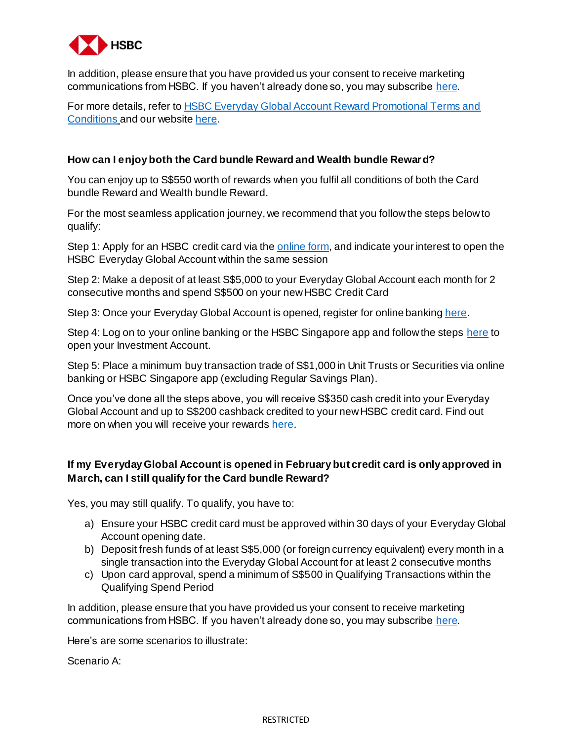

In addition, please ensure that you have provided us your consent to receive marketing communications from HSBC. If you haven't already done so, you may subscrib[e here](https://forms.hsbc.com.sg/en-sg/forms/hsbc-marketing-opt-in-application-form/).

For more details, refer t[o HSBC Everyday Global Account Reward Promotional Terms and](https://cdn.hsbc.com.sg/content/dam/hsbc/sg/documents/accounts/products/everyday-global/offers/welcome-rewards-terms-and-conditions.pdf)  [Conditions](https://cdn.hsbc.com.sg/content/dam/hsbc/sg/documents/accounts/products/everyday-global/offers/welcome-rewards-terms-and-conditions.pdf) and our websit[e here](https://www.hsbc.com.sg/personal-banking/).

#### **How can I enjoy both the Card bundle Reward and Wealth bundle Reward?**

You can enjoy up to S\$550 worth of rewards when you fulfil all conditions of both the Card bundle Reward and Wealth bundle Reward.

For the most seamless application journey, we recommend that you follow the steps below to qualify:

Step 1: Apply for an HSBC credit card via th[e online form,](https://www.newcreditcard.hsbc.com.sg/hsbcaofe/#!/app/apply-for-card?promo=PB1400281&sourceCode=EP&isCasaApplied=Y) and indicate your interest to open the HSBC Everyday Global Account within the same session

Step 2: Make a deposit of at least S\$5,000 to your Everyday Global Account each month for 2 consecutive months and spend S\$500 on your new HSBC Credit Card

Step 3: Once your Everyday Global Account is opened, register for online bankin[g here](https://www.hsbc.com.sg/ways-to-bank/online/register/).

Step 4: Log on to your online banking or the HSBC Singapore app and follow the step[s here](https://cdn.hsbc.com.sg/content/dam/hsbc/sg/documents/accounts/personal-banking/open-everyday-global-and-investment-account-for-new-to-bank-customers.pdf) to open your Investment Account.

Step 5: Place a minimum buy transaction trade of S\$1,000 in Unit Trusts or Securities via online banking or HSBC Singapore app (excluding Regular Savings Plan).

Once you've done all the steps above, you will receive S\$350 cash credit into your Everyday Global Account and up to S\$200 cashback credited to your new HSBC credit card. Find out more on when you will receive your reward[s here](#page-5-0).

## **If my Everyday Global Account is opened in February but credit card is only approved in March, can I still qualify for the Card bundle Reward?**

Yes, you may still qualify. To qualify, you have to:

- a) Ensure your HSBC credit card must be approved within 30 days of your Everyday Global Account opening date.
- b) Deposit fresh funds of at least S\$5,000 (or foreign currency equivalent) every month in a single transaction into the Everyday Global Account for at least 2 consecutive months
- c) Upon card approval, spend a minimum of S\$500 in Qualifying Transactions within the Qualifying Spend Period

In addition, please ensure that you have provided us your consent to receive marketing communications from HSBC. If you haven't already done so, you may subscrib[e here](https://forms.hsbc.com.sg/en-sg/forms/hsbc-marketing-opt-in-application-form/).

Here's are some scenarios to illustrate:

Scenario A: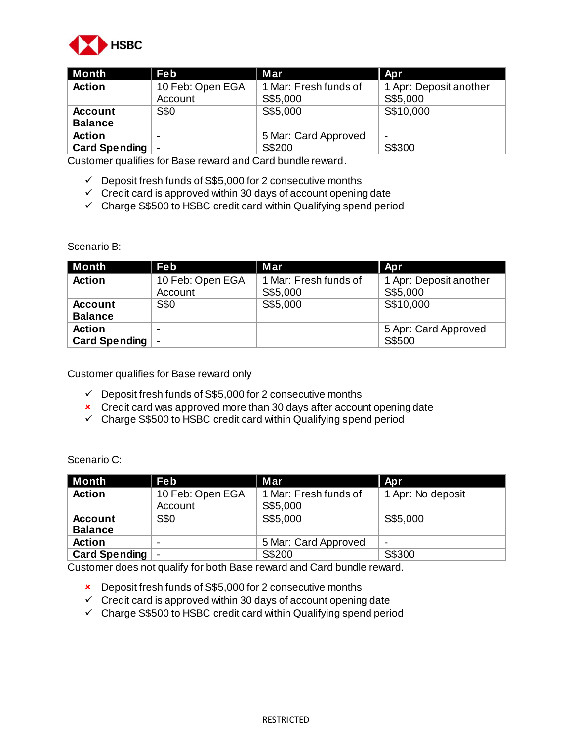

| ∥ Month                           | Feb                      | Mar                   | Apr                    |  |
|-----------------------------------|--------------------------|-----------------------|------------------------|--|
| <b>Action</b><br>10 Feb: Open EGA |                          | 1 Mar: Fresh funds of | 1 Apr: Deposit another |  |
|                                   | Account                  | S\$5,000              | S\$5,000               |  |
| <b>Account</b>                    | <b>S\$0</b>              | S\$5,000              | S\$10,000              |  |
| <b>Balance</b>                    |                          |                       |                        |  |
| <b>Action</b>                     | -                        | 5 Mar: Card Approved  | $\blacksquare$         |  |
| <b>Card Spending</b>              | $\overline{\phantom{a}}$ | S\$200                | S\$300                 |  |

Customer qualifies for Base reward and Card bundle reward.

- $\checkmark$  Deposit fresh funds of S\$5,000 for 2 consecutive months
- $\checkmark$  Credit card is approved within 30 days of account opening date
- $\checkmark$  Charge S\$500 to HSBC credit card within Qualifying spend period

Scenario B:

| Month                | Feb              | Mar                   | Apr.                   |  |
|----------------------|------------------|-----------------------|------------------------|--|
| <b>Action</b>        | 10 Feb: Open EGA | 1 Mar: Fresh funds of | 1 Apr: Deposit another |  |
|                      | Account          | S\$5,000              | S\$5,000               |  |
| <b>Account</b>       | <b>S\$0</b>      | S\$5,000              | S\$10,000              |  |
| <b>Balance</b>       |                  |                       |                        |  |
| <b>Action</b>        |                  |                       | 5 Apr: Card Approved   |  |
| <b>Card Spending</b> |                  |                       | S\$500                 |  |

Customer qualifies for Base reward only

- $\checkmark$  Deposit fresh funds of S\$5,000 for 2 consecutive months
- **x** Credit card was approved more than 30 days after account opening date
- $\checkmark$  Charge S\$500 to HSBC credit card within Qualifying spend period

Scenario C:

| l Month        | Feb              | Mar                   | Apr                      |  |
|----------------|------------------|-----------------------|--------------------------|--|
| <b>Action</b>  | 10 Feb: Open EGA | 1 Mar: Fresh funds of | 1 Apr: No deposit        |  |
|                | Account          | S\$5,000              |                          |  |
| <b>Account</b> | <b>S\$0</b>      | S\$5,000              | S\$5,000                 |  |
| <b>Balance</b> |                  |                       |                          |  |
| <b>Action</b>  |                  | 5 Mar: Card Approved  | $\overline{\phantom{0}}$ |  |
| Card Spending  |                  | S\$200                | S\$300                   |  |

Customer does not qualify for both Base reward and Card bundle reward.

- **EX** Deposit fresh funds of S\$5,000 for 2 consecutive months
- $\checkmark$  Credit card is approved within 30 days of account opening date
- $\checkmark$  Charge S\$500 to HSBC credit card within Qualifying spend period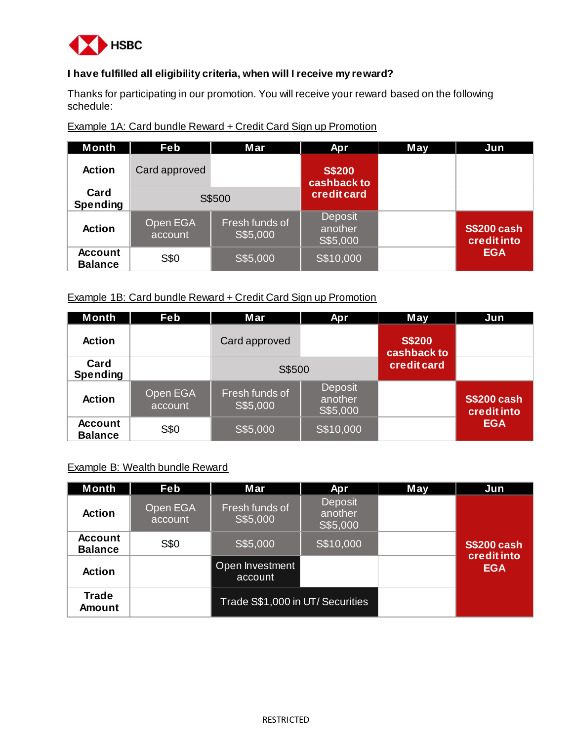<span id="page-5-0"></span>

# **I have fulfilled all eligibility criteria, when will I receive my reward?**

Thanks for participating in our promotion. You will receive your reward based on the following schedule:

| <b>Month</b>                     | Feb                 | Mar                        | Apr                                   | May | Jun                               |
|----------------------------------|---------------------|----------------------------|---------------------------------------|-----|-----------------------------------|
| <b>Action</b>                    | Card approved       |                            | <b>S\$200</b><br>cashback to          |     |                                   |
| Card<br><b>Spending</b>          | S\$500              |                            | credit card                           |     |                                   |
| <b>Action</b>                    | Open EGA<br>account | Fresh funds of<br>S\$5,000 | <b>Deposit</b><br>another<br>S\$5,000 |     | <b>S\$200 cash</b><br>credit into |
| <b>Account</b><br><b>Balance</b> | S\$0                | S\$5,000                   | S\$10,000                             |     | <b>EGA</b>                        |

Example 1A: Card bundle Reward + Credit Card Sign up Promotion

### Example 1B: Card bundle Reward + Credit Card Sign up Promotion

| <b>Month</b>                     | Feb                 | Mar                        | Apr                                   | May                          | Jun                               |
|----------------------------------|---------------------|----------------------------|---------------------------------------|------------------------------|-----------------------------------|
| <b>Action</b>                    |                     | Card approved              |                                       | <b>S\$200</b><br>cashback to |                                   |
| Card<br><b>Spending</b>          |                     | S\$500                     |                                       | credit card                  |                                   |
| <b>Action</b>                    | Open EGA<br>account | Fresh funds of<br>S\$5,000 | <b>Deposit</b><br>another<br>S\$5,000 |                              | <b>S\$200 cash</b><br>credit into |
| <b>Account</b><br><b>Balance</b> | S\$0                | S\$5,000                   | S\$10,000                             |                              | <b>EGA</b>                        |

#### Example B: Wealth bundle Reward

| <b>Month</b>                     | Feb                 | Mar                              | Apr                                   | May | Jun                               |
|----------------------------------|---------------------|----------------------------------|---------------------------------------|-----|-----------------------------------|
| <b>Action</b>                    | Open EGA<br>account | Fresh funds of<br>S\$5,000       | <b>Deposit</b><br>another<br>S\$5,000 |     |                                   |
| <b>Account</b><br><b>Balance</b> | S\$0                | S\$5,000                         | S\$10,000                             |     | <b>S\$200 cash</b><br>credit into |
| <b>Action</b>                    |                     | Open Investment<br>account       |                                       |     | <b>EGA</b>                        |
| <b>Trade</b><br><b>Amount</b>    |                     | Trade S\$1,000 in UT/ Securities |                                       |     |                                   |